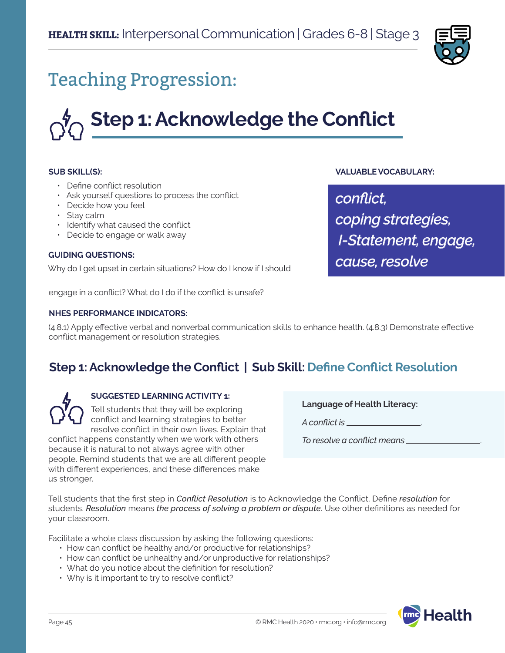

# Teaching Progression:

# **Step 1: Acknowledge the Conflict**

#### **SUB SKILL(S):**

- Define conflict resolution
- Ask yourself questions to process the conflict
- Decide how you feel
- Stay calm
- Identify what caused the conflict
- Decide to engage or walk away

#### **GUIDING QUESTIONS:**

Why do I get upset in certain situations? How do I know if I should

engage in a conflict? What do I do if the conflict is unsafe?

#### **NHES PERFORMANCE INDICATORS:**

(4.8.1) Apply effective verbal and nonverbal communication skills to enhance health. (4.8.3) Demonstrate effective conflict management or resolution strategies.

## **Step 1: Acknowledge the Conflict | Sub Skill: Define Conflict Resolution**



#### **SUGGESTED LEARNING ACTIVITY 1:**

Tell students that they will be exploring conflict and learning strategies to better resolve conflict in their own lives. Explain that

conflict happens constantly when we work with others because it is natural to not always agree with other people. Remind students that we are all different people with different experiences, and these differences make us stronger.

**Language of Health Literacy:**

**VALUABLE VOCABULARY:**

*coping strategies,*

*cause, resolve*

 *I-Statement, engage,*

*conflict,* 

*A conflict is* .

*To resolve a conflict means* .

Tell students that the first step in *Conflict Resolution* is to Acknowledge the Conflict. Define *resolution* for students. *Resolution* means *the process of solving a problem or dispute*. Use other definitions as needed for your classroom.

Facilitate a whole class discussion by asking the following questions:

- How can conflict be healthy and/or productive for relationships?
- How can conflict be unhealthy and/or unproductive for relationships?
- What do you notice about the definition for resolution?
- Why is it important to try to resolve conflict?

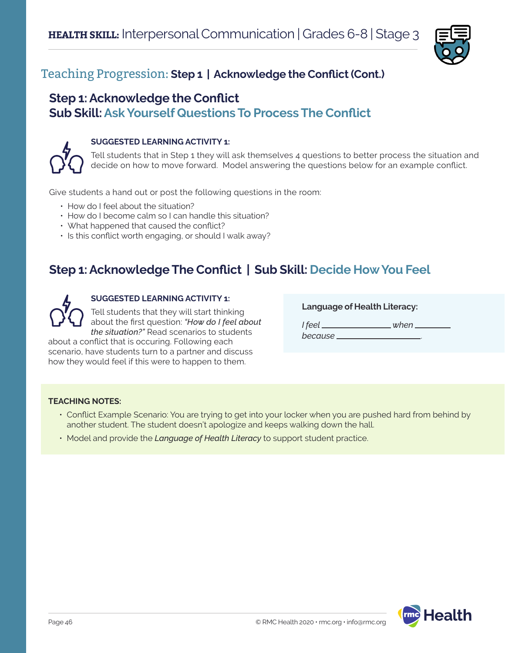

## Teaching Progression: **Step 1 | Acknowledge the Conflict (Cont.)**

## **Step 1: Acknowledge the Conflict Sub Skill: Ask Yourself Questions To Process The Conflict**



#### **SUGGESTED LEARNING ACTIVITY 1:**

Tell students that in Step 1 they will ask themselves 4 questions to better process the situation and decide on how to move forward. Model answering the questions below for an example conflict.

Give students a hand out or post the following questions in the room:

- How do I feel about the situation?
- How do I become calm so I can handle this situation?
- What happened that caused the conflict?
- Is this conflict worth engaging, or should I walk away?

## **Step 1: Acknowledge The Conflict | Sub Skill: Decide How You Feel**



## **SUGGESTED LEARNING ACTIVITY 1:**

Tell students that they will start thinking about the first question: *"How do I feel about the situation?"* Read scenarios to students

about a conflict that is occuring. Following each scenario, have students turn to a partner and discuss how they would feel if this were to happen to them.

**Language of Health Literacy:**

*I feel when because* .

**TEACHING NOTES:**

- Conflict Example Scenario: You are trying to get into your locker when you are pushed hard from behind by another student. The student doesn't apologize and keeps walking down the hall.
- Model and provide the *Language of Health Literacy* to support student practice.

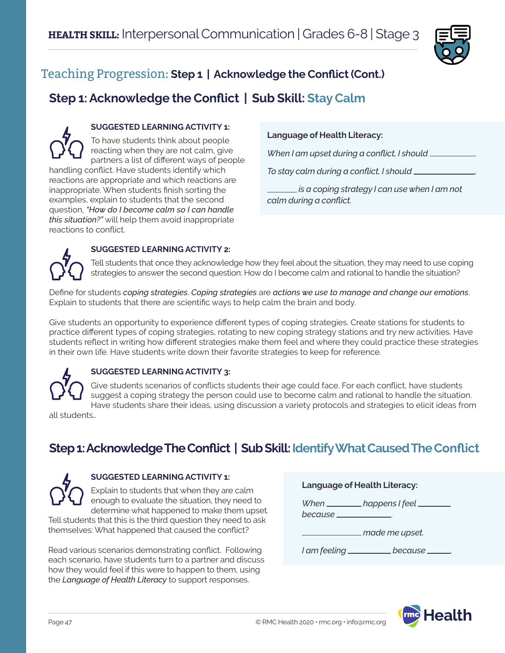

## Teaching Progression: **Step 1 | Acknowledge the Conflict (Cont.)**

## **Step 1: Acknowledge the Conflict | Sub Skill: Stay Calm**

**SUGGESTED LEARNING ACTIVITY 1:** To have students think about people reacting when they are not calm, give partners a list of different ways of people handling conflict. Have students identify which reactions are appropriate and which reactions are inappropriate. When students finish sorting the examples, explain to students that the second question, *"How do I become calm so I can handle this situation?"* will help them avoid inappropriate reactions to conflict.

#### **Language of Health Literacy:**

*When I am upset during a conflict, I should* .

*To stay calm during a conflict, I should* .

 *is a coping strategy I can use when I am not calm during a conflict.*



#### **SUGGESTED LEARNING ACTIVITY 2:**

Tell students that once they acknowledge how they feel about the situation, they may need to use coping strategies to answer the second question: How do I become calm and rational to handle the situation?

Define for students *coping strategies*. *Coping strategies* are *actions we use to manage and change our emotions*. Explain to students that there are scientific ways to help calm the brain and body.

Give students an opportunity to experience different types of coping strategies. Create stations for students to practice different types of coping strategies, rotating to new coping strategy stations and try new activities. Have students reflect in writing how different strategies make them feel and where they could practice these strategies in their own life. Have students write down their favorite strategies to keep for reference.

## **SUGGESTED LEARNING ACTIVITY 3:**

Give students scenarios of conflicts students their age could face. For each conflict, have students suggest a coping strategy the person could use to become calm and rational to handle the situation. Have students share their ideas, using discussion a variety protocols and strategies to elicit ideas from

all students.*.*

## **Step 1: Acknowledge The Conflict | Sub Skill: Identify What Caused The Conflict**

## **SUGGESTED LEARNING ACTIVITY 1:**

Explain to students that when they are calm enough to evaluate the situation, they need to determine what happened to make them upset.

Tell students that this is the third question they need to ask themselves: What happened that caused the conflict?

Read various scenarios demonstrating conflict. Following each scenario, have students turn to a partner and discuss how they would feel if this were to happen to them, using the *Language of Health Literacy* to support responses.

**Language of Health Literacy:**

*When* \_\_\_\_\_\_\_\_\_\_ happens I feel \_\_\_\_\_\_\_

*because* .

 *made me upset.* 

*I* am feeling \_\_\_\_\_\_\_\_\_\_\_ because \_